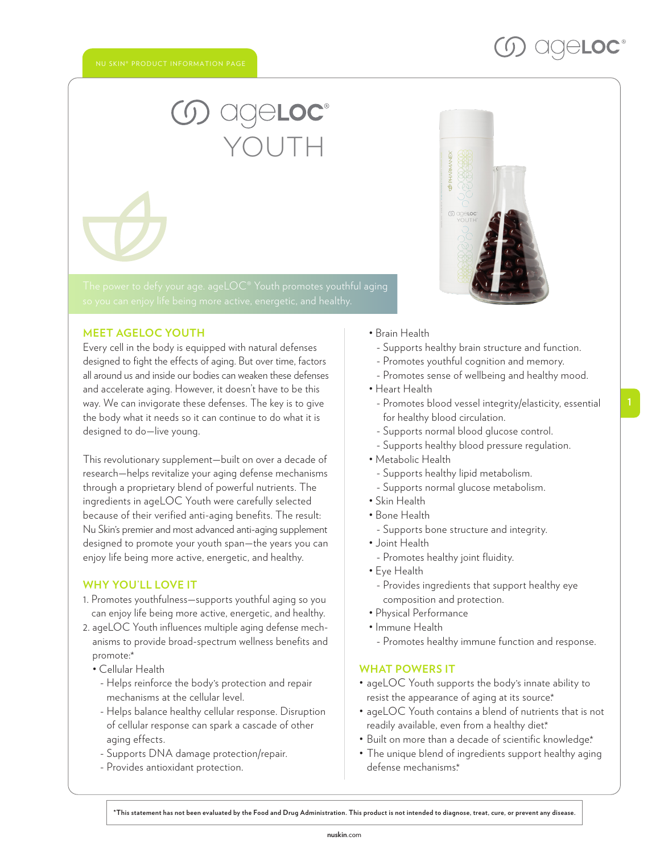# YOUTH

#### **MEET AGELOC YOUTH**

Every cell in the body is equipped with natural defenses designed to fight the effects of aging. But over time, factors all around us and inside our bodies can weaken these defenses and accelerate aging. However, it doesn't have to be this way. We can invigorate these defenses. The key is to give the body what it needs so it can continue to do what it is designed to do—live young.

This revolutionary supplement—built on over a decade of research—helps revitalize your aging defense mechanisms through a proprietary blend of powerful nutrients. The ingredients in ageLOC Youth were carefully selected because of their verified anti-aging benefits. The result: Nu Skin' s premier and most advanced anti-aging supplement designed to promote your youth span—the years you can enjoy life being more active, energetic, and healthy.

#### **WHY YOU'LL LOVE IT**

- 1. Promotes youthfulness—supports youthful aging so you can enjoy life being more active, energetic, and healthy.
- 2. ageLOC Youth influences multiple aging defense mechanisms to provide broad-spectrum wellness benefits and promote:\*
	- Cellular Health
	- Helps reinforce the body's protection and repair mechanisms at the cellular level.
	- Helps balance healthy cellular response. Disruption of cellular response can spark a cascade of other aging effects.
	- Supports DNA damage protection/repair.
	- Provides antioxidant protection.
- Brain Health
	- Supports healthy brain structure and function.
- Promotes youthful cognition and memory.
- Promotes sense of wellbeing and healthy mood.
- Heart Health
	- Promotes blood vessel integrity/elasticity, essential for healthy blood circulation.
- Supports normal blood glucose control.
- Supports healthy blood pressure regulation.
- Metabolic Health
	- Supports healthy lipid metabolism.
	- Supports normal glucose metabolism.
- Skin Health
- Bone Health
- Supports bone structure and integrity.
- Joint Health
	- Promotes healthy joint fluidity.
- Eye Health
- Provides ingredients that support healthy eye composition and protection.
- Physical Performance
- Immune Health
	- Promotes healthy immune function and response.

#### **WHAT POWERS IT**

- ageLOC Youth supports the body's innate ability to resist the appearance of aging at its source\*
- ageLOC Youth contains a blend of nutrients that is not readily available, even from a healthy diet.\*
- Built on more than a decade of scientific knowledge\*
- The unique blend of ingredients support healthy aging defense mechanisms.\*

**\*This statement has not been evaluated by the Food and Drug Administration. This product is not intended to diagnose, treat, cure, or prevent any disease.**

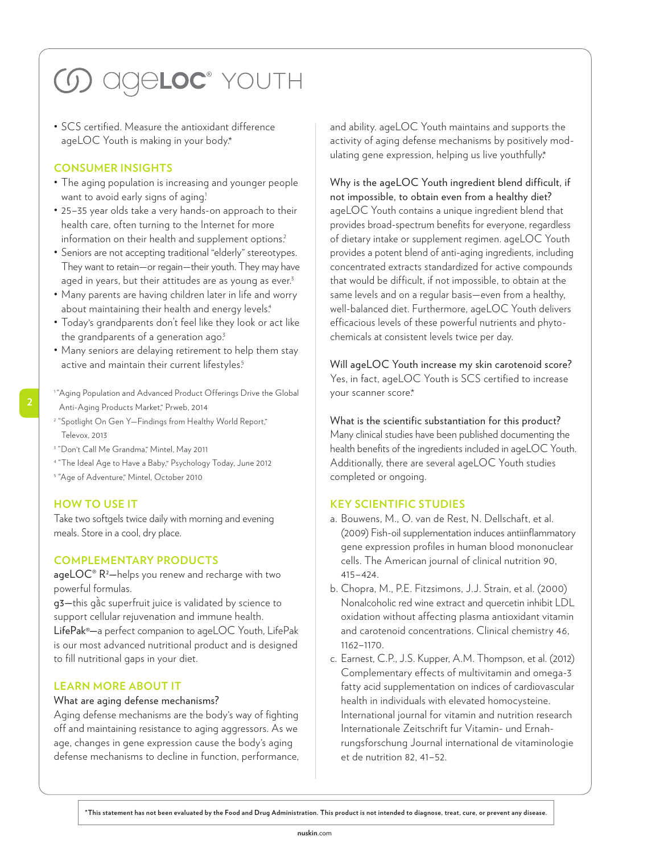## **5 OCCEDC** YOUTH

• SCS certified. Measure the antioxidant difference ageLOC Youth is making in your body.\*

#### **CONSUMER INSIGHTS**

- The aging population is increasing and younger people want to avoid early signs of aging!
- 25–35 year olds take a very hands-on approach to their health care, often turning to the Internet for more information on their health and supplement options?
- Seniors are not accepting traditional "elderly" stereotypes. They want to retain—or regain—their youth. They may have aged in years, but their attitudes are as young as ever.<sup>3</sup>
- Many parents are having children later in life and worry about maintaining their health and energy levels.<sup>4</sup>
- Today's grandparents don't feel like they look or act like the grandparents of a generation ago<sup>3</sup>
- Many seniors are delaying retirement to help them stay active and maintain their current lifestyles.<sup>5</sup>
- 

**2**

- <sup>1</sup> "Aging Population and Advanced Product Offerings Drive the Global Anti-Aging Products Market," Prweb, 2014
- 2 "Spotlight On Gen Y—Findings from Healthy World Report," Televox, 2013
- <sup>3</sup> "Don't Call Me Grandma," Mintel, May 2011
- 4 "The Ideal Age to Have a Baby," Psychology Today, June 2012
- <sup>5</sup> "Age of Adventure," Mintel, October 2010

#### **HOW TO USE IT**

Take two softgels twice daily with morning and evening meals. Store in a cool, dry place.

#### **COMPLEMENTARY PRODUCTS**

age $\mathsf{LOC}^\circ \mathsf{R}^2$ —helps you renew and recharge with two powerful formulas.

g3—this gâ`c superfruit juice is validated by science to support cellular rejuvenation and immune health. LifePak®—a perfect companion to ageLOC Youth, LifePak is our most advanced nutritional product and is designed to fill nutritional gaps in your diet.

#### **LEARN MORE ABOUT IT**

#### What are aging defense mechanisms?

Aging defense mechanisms are the body's way of fighting off and maintaining resistance to aging aggressors. As we age, changes in gene expression cause the body's aging defense mechanisms to decline in function, performance, and ability. ageLOC Youth maintains and supports the activity of aging defense mechanisms by positively modulating gene expression, helping us live youthfully. \*

Why is the ageLOC Youth ingredient blend difficult, if not impossible, to obtain even from a healthy diet? ageLOC Youth contains a unique ingredient blend that provides broad-spectrum benefits for everyone, regardless of dietary intake or supplement regimen. ageLOC Youth provides a potent blend of anti-aging ingredients, including concentrated extracts standardized for active compounds that would be difficult, if not impossible, to obtain at the same levels and on a regular basis—even from a healthy, well-balanced diet. Furthermore, ageLOC Youth delivers efficacious levels of these powerful nutrients and phytochemicals at consistent levels twice per day.

Will ageLOC Youth increase my skin carotenoid score? Yes, in fact, ageLOC Youth is SCS certified to increase your scanner score\*

What is the scientific substantiation for this product? Many clinical studies have been published documenting the health benefits of the ingredients included in ageLOC Youth. Additionally, there are several ageLOC Youth studies completed or ongoing.

#### **KEY SCIENTIFIC STUDIES**

- a. Bouwens, M., O. van de Rest, N. Dellschaft, et al. (2009) Fish-oil supplementation induces antiinflammatory gene expression profiles in human blood mononuclear cells. The American journal of clinical nutrition 90, 415–424.
- b. Chopra, M., P.E. Fitzsimons, J.J. Strain, et al. (2000) Nonalcoholic red wine extract and quercetin inhibit LDL oxidation without affecting plasma antioxidant vitamin and carotenoid concentrations. Clinical chemistry 46, 1162–1170.
- c. Earnest, C.P., J.S. Kupper, A.M. Thompson, et al. (2012) Complementary effects of multivitamin and omega-3 fatty acid supplementation on indices of cardiovascular health in individuals with elevated homocysteine. International journal for vitamin and nutrition research Internationale Zeitschrift fur Vitamin- und Ernahrungsforschung Journal international de vitaminologie et de nutrition 82, 41–52.

**\*This statement has not been evaluated by the Food and Drug Administration. This product is not intended to diagnose, treat, cure, or prevent any disease.**